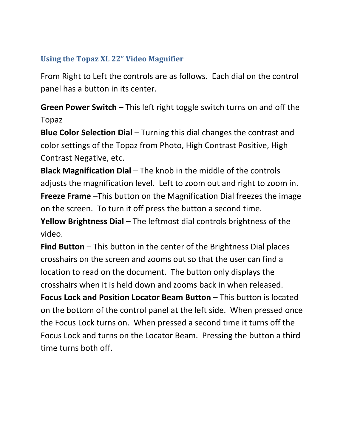## **Using the Topaz XL 22" Video Magnifier**

From Right to Left the controls are as follows. Each dial on the control panel has a button in its center.

**Green Power Switch** – This left right toggle switch turns on and off the Topaz

**Blue Color Selection Dial** – Turning this dial changes the contrast and color settings of the Topaz from Photo, High Contrast Positive, High Contrast Negative, etc.

**Black Magnification Dial** – The knob in the middle of the controls adjusts the magnification level. Left to zoom out and right to zoom in. **Freeze Frame** –This button on the Magnification Dial freezes the image on the screen. To turn it off press the button a second time.

**Yellow Brightness Dial** – The leftmost dial controls brightness of the video.

**Find Button** – This button in the center of the Brightness Dial places crosshairs on the screen and zooms out so that the user can find a location to read on the document. The button only displays the crosshairs when it is held down and zooms back in when released.

**Focus Lock and Position Locator Beam Button** – This button is located on the bottom of the control panel at the left side. When pressed once the Focus Lock turns on. When pressed a second time it turns off the Focus Lock and turns on the Locator Beam. Pressing the button a third time turns both off.